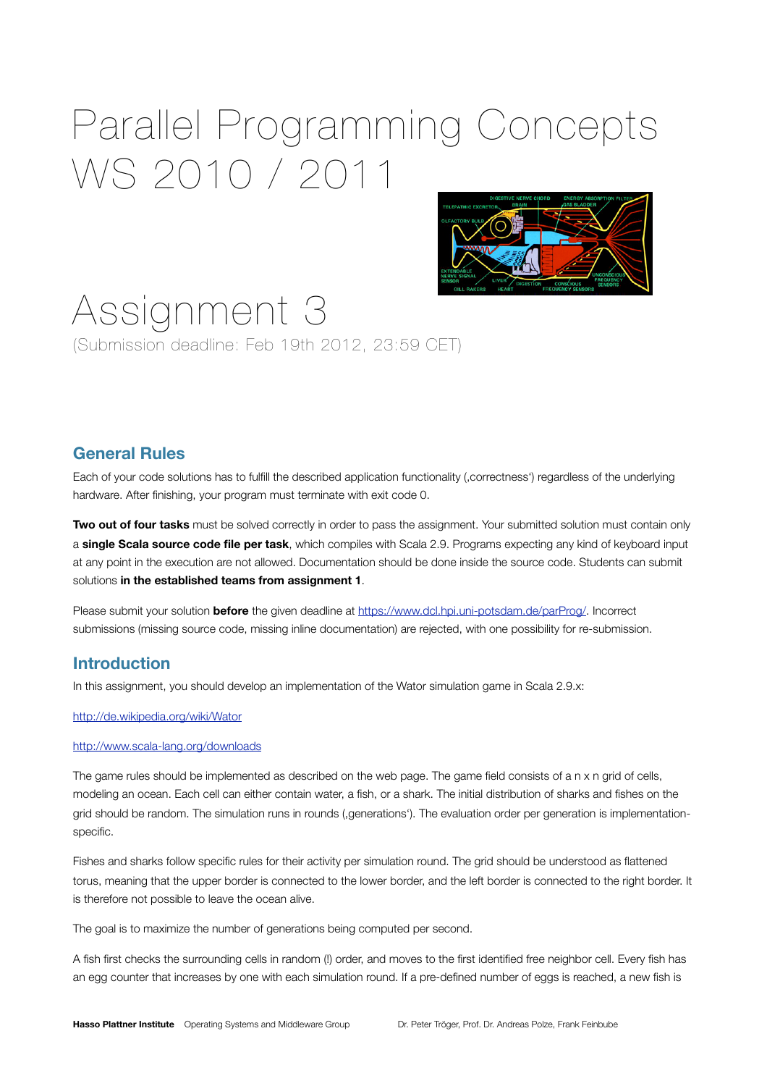# Parallel Programming Concepts WS 2010 / 2011



# Assignment 3 (Submission deadline: Feb 19th 2012, 23:59 CET)

## **General Rules**

Each of your code solutions has to fulfill the described application functionality (,correctness') regardless of the underlying hardware. After finishing, your program must terminate with exit code 0.

**Two out of four tasks** must be solved correctly in order to pass the assignment. Your submitted solution must contain only a **single Scala source code file per task**, which compiles with Scala 2.9. Programs expecting any kind of keyboard input at any point in the execution are not allowed. Documentation should be done inside the source code. Students can submit solutions **in the established teams from assignment 1**.

Please submit your solution **before** the given deadline at [https://www.dcl.hpi.uni-potsdam.de/parProg/.](https://www.dcl.hpi.uni-potsdam.de/parProg/) Incorrect submissions (missing source code, missing inline documentation) are rejected, with one possibility for re-submission.

### **Introduction**

In this assignment, you should develop an implementation of the Wator simulation game in Scala 2.9.x:

<http://de.wikipedia.org/wiki/Wator>

#### <http://www.scala-lang.org/downloads>

The game rules should be implemented as described on the web page. The game field consists of a n x n grid of cells, modeling an ocean. Each cell can either contain water, a fish, or a shark. The initial distribution of sharks and fishes on the grid should be random. The simulation runs in rounds (,generations'). The evaluation order per generation is implementationspecific.

Fishes and sharks follow specific rules for their activity per simulation round. The grid should be understood as flattened torus, meaning that the upper border is connected to the lower border, and the left border is connected to the right border. It is therefore not possible to leave the ocean alive.

The goal is to maximize the number of generations being computed per second.

A fish first checks the surrounding cells in random (!) order, and moves to the first identified free neighbor cell. Every fish has an egg counter that increases by one with each simulation round. If a pre-defined number of eggs is reached, a new fish is